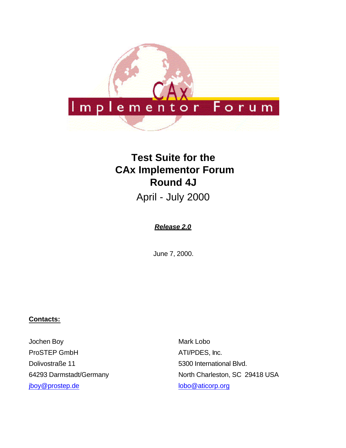

# **Test Suite for the CAx Implementor Forum Round 4J**

April - July 2000

### *Release 2.0*

June 7, 2000.

#### **Contacts:**

Jochen Boy ProSTEP GmbH Dolivostraße 11 64293 Darmstadt/Germany jboy@prostep.de

Mark Lobo ATI/PDES, Inc. 5300 International Blvd. North Charleston, SC 29418 USA lobo@aticorp.org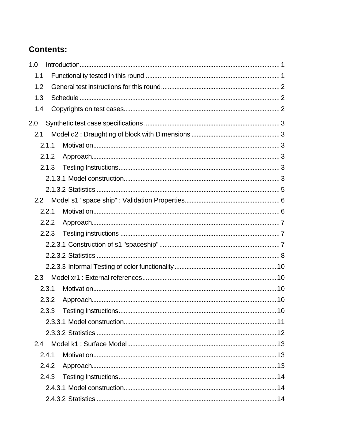## **Contents:**

| 1.0   |  |
|-------|--|
| 1.1   |  |
| 1.2   |  |
| 1.3   |  |
| 1.4   |  |
| 2.0   |  |
| 2.1   |  |
| 2.1.1 |  |
| 2.1.2 |  |
| 2.1.3 |  |
|       |  |
|       |  |
| 2.2   |  |
| 2.2.1 |  |
| 2.2.2 |  |
| 2.2.3 |  |
|       |  |
|       |  |
|       |  |
| 2.3   |  |
| 2.3.1 |  |
| 2.3.2 |  |
| 2.3.3 |  |
|       |  |
|       |  |
| 2.4   |  |
| 2.4.1 |  |
| 2.4.2 |  |
| 2.4.3 |  |
|       |  |
|       |  |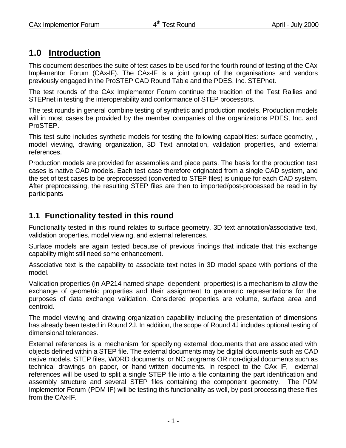## **1.0 Introduction**

This document describes the suite of test cases to be used for the fourth round of testing of the CAx Implementor Forum (CAx-IF). The CAx-IF is a joint group of the organisations and vendors previously engaged in the ProSTEP CAD Round Table and the PDES, Inc. STEPnet.

The test rounds of the CAx Implementor Forum continue the tradition of the Test Rallies and STEPnet in testing the interoperability and conformance of STEP processors.

The test rounds in general combine testing of synthetic and production models. Production models will in most cases be provided by the member companies of the organizations PDES, Inc. and ProSTEP.

This test suite includes synthetic models for testing the following capabilities: surface geometry, , model viewing, drawing organization, 3D Text annotation, validation properties, and external references.

Production models are provided for assemblies and piece parts. The basis for the production test cases is native CAD models. Each test case therefore originated from a single CAD system, and the set of test cases to be preprocessed (converted to STEP files) is unique for each CAD system. After preprocessing, the resulting STEP files are then to imported/post-processed be read in by participants

### **1.1 Functionality tested in this round**

Functionality tested in this round relates to surface geometry, 3D text annotation/associative text, validation properties, model viewing, and external references.

Surface models are again tested because of previous findings that indicate that this exchange capability might still need some enhancement.

Associative text is the capability to associate text notes in 3D model space with portions of the model.

Validation properties (in AP214 named shape\_dependent\_properties) is a mechanism to allow the exchange of geometric properties and their assignment to geometric representations for the purposes of data exchange validation. Considered properties are volume, surface area and centroid.

The model viewing and drawing organization capability including the presentation of dimensions has already been tested in Round 2J. In addition, the scope of Round 4J includes optional testing of dimensional tolerances.

External references is a mechanism for specifying external documents that are associated with objects defined within a STEP file. The external documents may be digital documents such as CAD native models, STEP files, WORD documents, or NC programs OR non-digital documents such as technical drawings on paper, or hand-written documents. In respect to the CAx IF, external references will be used to split a single STEP file into a file containing the part identification and assembly structure and several STEP files containing the component geometry. The PDM Implementor Forum (PDM-IF) will be testing this functionality as well, by post processing these files from the CAx-IF.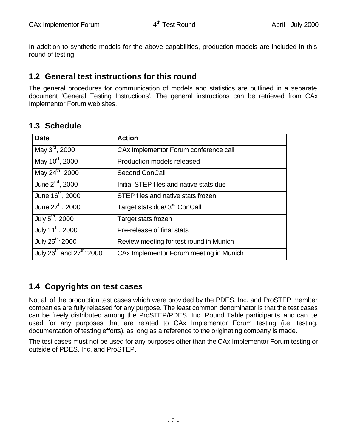In addition to synthetic models for the above capabilities, production models are included in this round of testing.

### **1.2 General test instructions for this round**

The general procedures for communication of models and statistics are outlined in a separate document 'General Testing Instructions'. The general instructions can be retrieved from CAx Implementor Forum web sites.

### **1.3 Schedule**

| <b>Date</b>                                      | <b>Action</b>                             |
|--------------------------------------------------|-------------------------------------------|
| May $3^{\text{rd}}$ , 2000                       | CAx Implementor Forum conference call     |
| May 10 <sup>st</sup> , 2000                      | Production models released                |
| May 24 <sup>th</sup> , 2000                      | <b>Second ConCall</b>                     |
| June 2 <sup>nd</sup> , 2000                      | Initial STEP files and native stats due   |
| June 16 <sup>th</sup> , 2000                     | STEP files and native stats frozen        |
| June 27 <sup>th</sup> , 2000                     | Target stats due/ 3 <sup>rd</sup> ConCall |
| July 5 <sup>th</sup> , 2000                      | Target stats frozen                       |
| July 11 <sup>th</sup> , 2000                     | Pre-release of final stats                |
| July 25 <sup>th,</sup> 2000                      | Review meeting for test round in Munich   |
| July 26 <sup>th</sup> and 27 <sup>th,</sup> 2000 | CAx Implementor Forum meeting in Munich   |

### **1.4 Copyrights on test cases**

Not all of the production test cases which were provided by the PDES, Inc. and ProSTEP member companies are fully released for any purpose. The least common denominator is that the test cases can be freely distributed among the ProSTEP/PDES, Inc. Round Table participants and can be used for any purposes that are related to CAx Implementor Forum testing (i.e. testing, documentation of testing efforts), as long as a reference to the originating company is made.

The test cases must not be used for any purposes other than the CAx Implementor Forum testing or outside of PDES, Inc. and ProSTEP.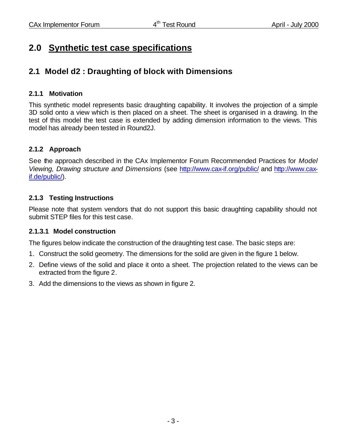## **2.0 Synthetic test case specifications**

### **2.1 Model d2 : Draughting of block with Dimensions**

### **2.1.1 Motivation**

This synthetic model represents basic draughting capability. It involves the projection of a simple 3D solid onto a view which is then placed on a sheet. The sheet is organised in a drawing. In the test of this model the test case is extended by adding dimension information to the views. This model has already been tested in Round2J.

### **2.1.2 Approach**

See the approach described in the CAx Implementor Forum Recommended Practices for *Model Viewing, Drawing structure and Dimensions* (see http://www.cax-if.org/public/ and http://www.caxif.de/public/).

### **2.1.3 Testing Instructions**

Please note that system vendors that do not support this basic draughting capability should not submit STEP files for this test case.

### **2.1.3.1 Model construction**

The figures below indicate the construction of the draughting test case. The basic steps are:

- 1. Construct the solid geometry. The dimensions for the solid are given in the figure 1 below.
- 2. Define views of the solid and place it onto a sheet. The projection related to the views can be extracted from the figure 2.
- 3. Add the dimensions to the views as shown in figure 2.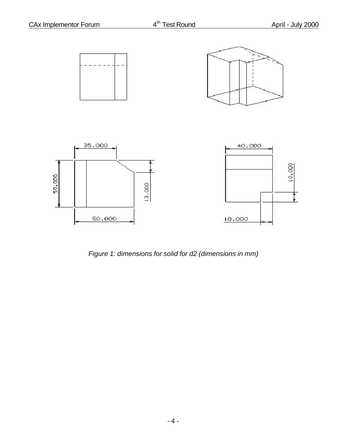

*Figure 1: dimensions for solid for d2 (dimensions in mm)*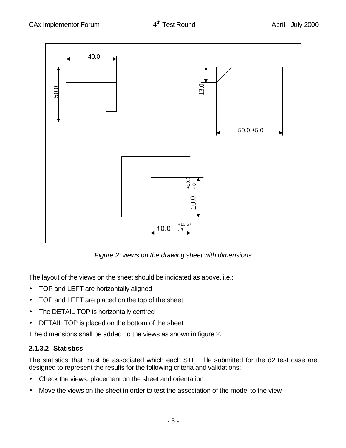

*Figure 2: views on the drawing sheet with dimensions*

The layout of the views on the sheet should be indicated as above, i.e.:

- TOP and LEFT are horizontally aligned
- TOP and LEFT are placed on the top of the sheet
- The DETAIL TOP is horizontally centred
- DETAIL TOP is placed on the bottom of the sheet

T he dimensions shall be added to the views as shown in figure 2.

### **2.1.3.2 Statistics**

The statistics that must be associated which each STEP file submitted for the d2 test case are designed to represent the results for the following criteria and validations:

- Check the views: placement on the sheet and orientation
- Move the views on the sheet in order to test the association of the model to the view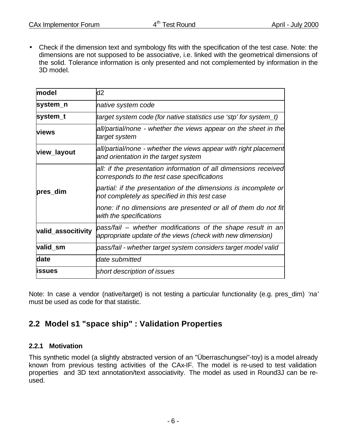• Check if the dimension text and symbology fits with the specification of the test case. Note: the dimensions are not supposed to be associative, i.e. linked with the geometrical dimensions of the solid. Tolerance information is only presented and not complemented by information in the 3D model.

| model              | d2                                                                                                                        |
|--------------------|---------------------------------------------------------------------------------------------------------------------------|
| system_n           | native system code                                                                                                        |
| system_t           | target system code (for native statistics use 'stp' for system_t)                                                         |
| <b>views</b>       | all/partial/none - whether the views appear on the sheet in the<br>target system                                          |
| view_layout        | all/partial/none - whether the views appear with right placement<br>and orientation in the target system                  |
|                    | all: if the presentation information of all dimensions received<br>corresponds to the test case specifications            |
| pres_dim           | partial: if the presentation of the dimensions is incomplete or<br>not completely as specified in this test case          |
|                    | none: if no dimensions are presented or all of them do not fit<br>with the specifications                                 |
| valid_associtivity | pass/fail – whether modifications of the shape result in an<br>appropriate update of the views (check with new dimension) |
| valid_sm           | pass/fail - whether target system considers target model valid                                                            |
| date               | date submitted                                                                                                            |
| <b>lissues</b>     | short description of issues                                                                                               |

Note: In case a vendor (native/target) is not testing a particular functionality (e.g. pres\_dim) *'na'* must be used as code for that statistic.

### **2.2 Model s1 "space ship" : Validation Properties**

### **2.2.1 Motivation**

This synthetic model (a slightly abstracted version of an "Überraschungsei"-toy) is a model already known from previous testing activities of the CAx-IF. The model is re-used to test validation properties and 3D text annotation/text associativity. The model as used in Round3J can be reused.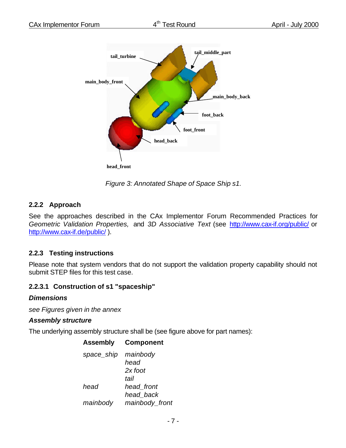

**head\_front**

*Figure 3: Annotated Shape of Space Ship s1.*

#### **2.2.2 Approach**

See the approaches described in the CAx Implementor Forum Recommended Practices for *Geometric Validation Properties,* and *3D Associative Text* (see http://www.cax-if.org/public/ or http://www.cax-if.de/public/ ).

### **2.2.3 Testing instructions**

Please note that system vendors that do not support the validation property capability should not submit STEP files for this test case.

### **2.2.3.1 Construction of s1 "spaceship"**

#### *Dimensions*

*see Figures given in the annex*

#### *Assembly structure*

The underlying assembly structure shall be (see figure above for part names):

| <b>Assembly</b> | <b>Component</b> |
|-----------------|------------------|
| space_ship      | mainbody         |
|                 | head             |
|                 | 2x foot          |
|                 | tail             |
| head            | head front       |
|                 | head back        |
| mainbody        | mainbody_front   |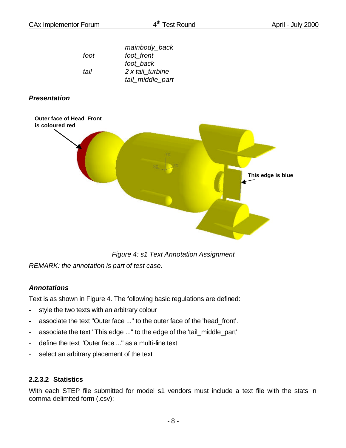|      | mainbody_back    |
|------|------------------|
| foot | foot front       |
|      | foot back        |
| tail | 2 x tail turbine |
|      | tail_middle_part |

### *Presentation*



*Figure 4: s1 Text Annotation Assignment*

*REMARK: the annotation is part of test case.*

### *Annotations*

Text is as shown in Figure 4. The following basic regulations are defined:

- style the two texts with an arbitrary colour
- associate the text "Outer face ..." to the outer face of the 'head front'.
- associate the text "This edge ..." to the edge of the 'tail\_middle\_part'
- define the text "Outer face ..." as a multi-line text
- select an arbitrary placement of the text

### **2.2.3.2 Statistics**

With each STEP file submitted for model s1 vendors must include a text file with the stats in comma-delimited form (.csv):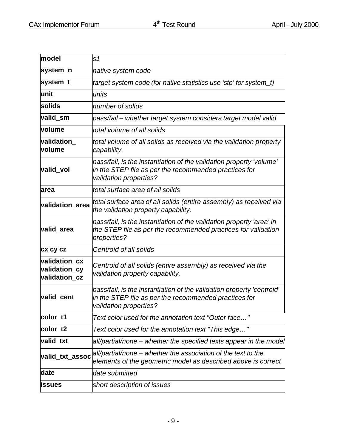| model                                           | s1                                                                                                                                                       |
|-------------------------------------------------|----------------------------------------------------------------------------------------------------------------------------------------------------------|
| system_n                                        | native system code                                                                                                                                       |
| system_t                                        | target system code (for native statistics use 'stp' for system_t)                                                                                        |
| unit                                            | units                                                                                                                                                    |
| solids                                          | number of solids                                                                                                                                         |
| valid_sm                                        | pass/fail – whether target system considers target model valid                                                                                           |
| <b>volume</b>                                   | total volume of all solids                                                                                                                               |
| validation<br>volume                            | total volume of all solids as received via the validation property<br>capability.                                                                        |
| valid vol                                       | pass/fail, is the instantiation of the validation property 'volume'<br>in the STEP file as per the recommended practices for<br>validation properties?   |
| larea                                           | total surface area of all solids                                                                                                                         |
| validation_area                                 | total surface area of all solids (entire assembly) as received via<br>the validation property capability.                                                |
| valid_area                                      | pass/fail, is the instantiation of the validation property 'area' in<br>the STEP file as per the recommended practices for validation<br>properties?     |
| <b>CX CY CZ</b>                                 | Centroid of all solids                                                                                                                                   |
| validation_cx<br>validation_cy<br>validation_cz | Centroid of all solids (entire assembly) as received via the<br>validation property capability.                                                          |
| valid cent                                      | pass/fail, is the instantiation of the validation property 'centroid'<br>in the STEP file as per the recommended practices for<br>validation properties? |
| color_t1                                        | Text color used for the annotation text "Outer face"                                                                                                     |
| color <sub>t2</sub>                             | Text color used for the annotation text "This edge"                                                                                                      |
| valid_txt                                       | all/partial/none – whether the specified texts appear in the model                                                                                       |
| valid_txt_assoc                                 | all/partial/none – whether the association of the text to the<br>elements of the geometric model as described above is correct                           |
| date                                            | date submitted                                                                                                                                           |
| issues                                          | short description of issues                                                                                                                              |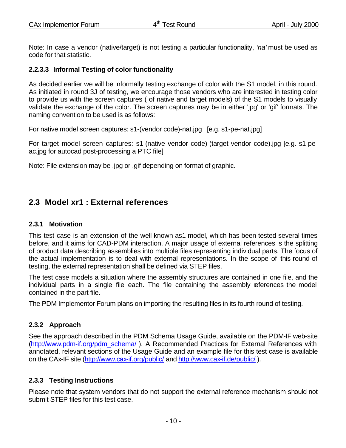Note: In case a vendor (native/target) is not testing a particular functionality, *'na'* must be used as code for that statistic.

### **2.2.3.3 Informal Testing of color functionality**

As decided earlier we will be informally testing exchange of color with the S1 model, in this round. As initiated in round 3J of testing, we encourage those vendors who are interested in testing color to provide us with the screen captures ( of native and target models) of the S1 models to visually validate the exchange of the color. The screen captures may be in either 'jpg' or 'gif' formats. The naming convention to be used is as follows:

For native model screen captures: s1-(vendor code)-nat.jpg [e.g. s1-pe-nat.jpg]

For target model screen captures: s1-(native vendor code)-(target vendor code).jpg [e.g. s1-peac.jpg for autocad post-processing a PTC file]

Note: File extension may be .jpg or .gif depending on format of graphic.

### **2.3 Model xr1 : External references**

### **2.3.1 Motivation**

This test case is an extension of the well-known as1 model, which has been tested several times before, and it aims for CAD-PDM interaction. A major usage of external references is the splitting of product data describing assemblies into multiple files representing individual parts. The focus of the actual implementation is to deal with external representations. In the scope of this round of testing, the external representation shall be defined via STEP files.

The test case models a situation where the assembly structures are contained in one file, and the individual parts in a single file each. The file containing the assembly references the model contained in the part file.

The PDM Implementor Forum plans on importing the resulting files in its fourth round of testing.

### **2.3.2 Approach**

See the approach described in the PDM Schema Usage Guide, available on the PDM-IF web-site (http://www.pdm-if.org/pdm\_schema/ ). A Recommended Practices for External References with annotated, relevant sections of the Usage Guide and an example file for this test case is available on the CAx-IF site (http://www.cax-if.org/public/ and http://www.cax-if.de/public/ ).

### **2.3.3 Testing Instructions**

Please note that system vendors that do not support the external reference mechanism should not submit STEP files for this test case.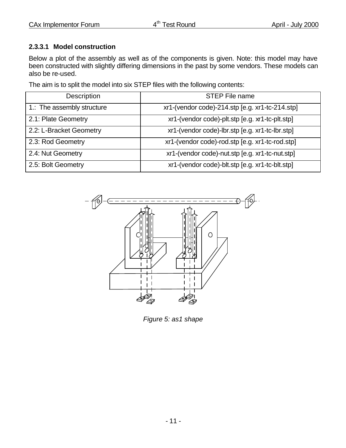### **2.3.3.1 Model construction**

Below a plot of the assembly as well as of the components is given. Note: this model may have been constructed with slightly differing dimensions in the past by some vendors. These models can also be re-used.

The aim is to split the model into six STEP files with the following contents:

| Description                | <b>STEP File name</b>                           |
|----------------------------|-------------------------------------------------|
| 1.: The assembly structure | xr1-(vendor code)-214.stp [e.g. xr1-tc-214.stp] |
| 2.1: Plate Geometry        | xr1-(vendor code)-plt.stp [e.g. xr1-tc-plt.stp] |
| 2.2: L-Bracket Geometry    | xr1-(vendor code)-lbr.stp [e.g. xr1-tc-lbr.stp] |
| 2.3: Rod Geometry          | xr1-(vendor code)-rod.stp [e.g. xr1-tc-rod.stp] |
| 2.4: Nut Geometry          | xr1-(vendor code)-nut.stp [e.g. xr1-tc-nut.stp] |
| 2.5: Bolt Geometry         | xr1-(vendor code)-blt.stp [e.g. xr1-tc-blt.stp] |



*Figure 5: as1 shape*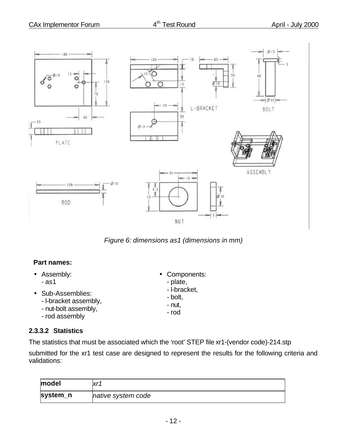

*Figure 6: dimensions as1 (dimensions in mm)*

### **Part names:**

- Assembly: - as1
- Sub-Assemblies:
	- l-bracket assembly,
	- nut-bolt assembly,
	- rod assembly

### **2.3.3.2 Statistics**

The statistics that must be associated which the 'root' STEP file xr1-(vendor code)-214.stp

submitted for the xr1 test case are designed to represent the results for the following criteria and validations:

| model    | vr <sub>1</sub>    |
|----------|--------------------|
| system_n | native system code |

• Components: - plate, - l-bracket, - bolt, - nut, - rod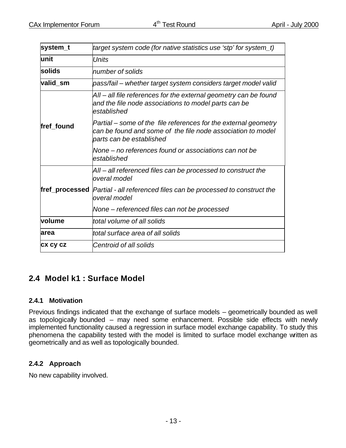| system_t                                                                   | target system code (for native statistics use 'stp' for system_t)                                                                                          |  |  |  |
|----------------------------------------------------------------------------|------------------------------------------------------------------------------------------------------------------------------------------------------------|--|--|--|
| unit                                                                       | <b>Units</b>                                                                                                                                               |  |  |  |
| solids                                                                     | number of solids                                                                                                                                           |  |  |  |
| valid_sm<br>pass/fail – whether target system considers target model valid |                                                                                                                                                            |  |  |  |
|                                                                            | All – all file references for the external geometry can be found<br>and the file node associations to model parts can be<br>established                    |  |  |  |
| fref found                                                                 | Partial – some of the file references for the external geometry<br>can be found and some of the file node association to model<br>parts can be established |  |  |  |
|                                                                            | None – no references found or associations can not be<br>established                                                                                       |  |  |  |
|                                                                            | All – all referenced files can be processed to construct the<br>overal model                                                                               |  |  |  |
|                                                                            | fref_processed  Partial - all referenced files can be processed to construct the<br>overal model                                                           |  |  |  |
|                                                                            | None – referenced files can not be processed                                                                                                               |  |  |  |
| volume                                                                     | total volume of all solids                                                                                                                                 |  |  |  |
| area                                                                       | total surface area of all solids                                                                                                                           |  |  |  |
| <b>CX CY CZ</b>                                                            | Centroid of all solids                                                                                                                                     |  |  |  |

### **2.4 Model k1 : Surface Model**

### **2.4.1 Motivation**

Previous findings indicated that the exchange of surface models – geometrically bounded as well as topologically bounded – may need some enhancement. Possible side effects with newly implemented functionality caused a regression in surface model exchange capability. To study this phenomena the capability tested with the model is limited to surface model exchange written as geometrically and as well as topologically bounded.

### **2.4.2 Approach**

No new capability involved.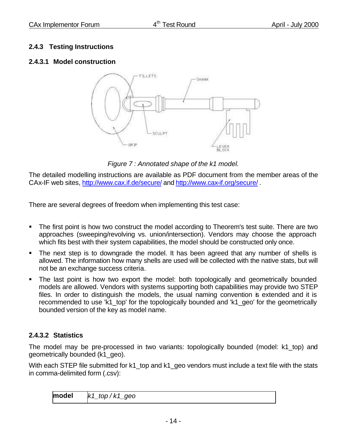### **2.4.3 Testing Instructions**

### **2.4.3.1 Model construction**



*Figure 7 : Annotated shape of the k1 model.*

The detailed modelling instructions are available as PDF document from the member areas of the CAx-IF web sites, http://www.cax.if.de/secure/ and http://www.cax-if.org/secure/ .

There are several degrees of freedom when implementing this test case:

- The first point is how two construct the model according to Theorem's test suite. There are two approaches (sweeping/revolving vs. union/intersection). Vendors may choose the approach which fits best with their system capabilities, the model should be constructed only once.
- The next step is to downgrade the model. It has been agreed that any number of shells is allowed. The information how many shells are used will be collected with the native stats, but will not be an exchange success criteria.
- The last point is how two export the model: both topologically and geometrically bounded models are allowed. Vendors with systems supporting both capabilities may provide two STEP files. In order to distinguish the models, the usual naming convention is extended and it is recommended to use 'k1 top' for the topologically bounded and 'k1 geo' for the geometrically bounded version of the key as model name.

### **2.4.3.2 Statistics**

The model may be pre-processed in two variants: topologically bounded (model: k1\_top) and geometrically bounded (k1\_geo).

With each STEP file submitted for k1 top and k1 geo vendors must include a text file with the stats in comma-delimited form (.csv):

**model** *k1\_top / k1\_geo*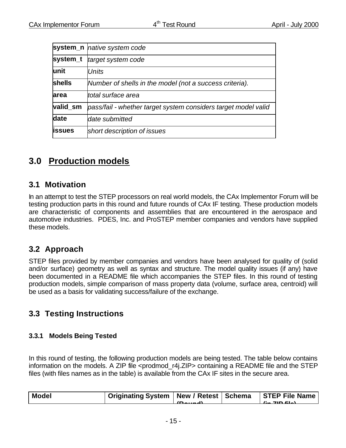|               | system_n   native system code                                  |
|---------------|----------------------------------------------------------------|
| system_t      | target system code                                             |
| lunit         | <b>Units</b>                                                   |
| <b>shells</b> | Number of shells in the model (not a success criteria).        |
| area          | ltotal surface area                                            |
| valid_sm      | pass/fail - whether target system considers target model valid |
| date          | date submitted                                                 |
| <b>issues</b> | short description of issues                                    |
|               |                                                                |

## **3.0 Production models**

### **3.1 Motivation**

In an attempt to test the STEP processors on real world models, the CAx Implementor Forum will be testing production parts in this round and future rounds of CAx IF testing. These production models are characteristic of components and assemblies that are encountered in the aerospace and automotive industries. PDES, Inc. and ProSTEP member companies and vendors have supplied these models.

### **3.2 Approach**

STEP files provided by member companies and vendors have been analysed for quality of (solid and/or surface) geometry as well as syntax and structure. The model quality issues (if any) have been documented in a README file which accompanies the STEP files. In this round of testing production models, simple comparison of mass property data (volume, surface area, centroid) will be used as a basis for validating success/failure of the exchange.

### **3.3 Testing Instructions**

### **3.3.1 Models Being Tested**

In this round of testing, the following production models are being tested. The table below contains information on the models. A ZIP file <prodmod\_r4j.ZIP> containing a README file and the STEP files (with files names as in the table) is available from the CAx IF sites in the secure area.

|                                                                                                    | <b>Model</b> | Originating System   New / Retest   Schema   STEP File Name |  |  |
|----------------------------------------------------------------------------------------------------|--------------|-------------------------------------------------------------|--|--|
| $\mathcal{L}$ $\mathcal{L}$ $\mathcal{L}$ $\mathcal{L}$ $\mathcal{L}$<br>$\sqrt{D}$ and $\sqrt{L}$ |              |                                                             |  |  |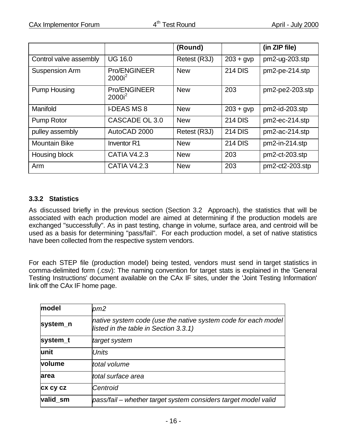|                        |                                  | (Round)      |                | (in ZIP file)    |
|------------------------|----------------------------------|--------------|----------------|------------------|
| Control valve assembly | <b>UG 16.0</b>                   | Retest (R3J) | $203 + gvp$    | $pm2-ug-203.stp$ |
| <b>Suspension Arm</b>  | <b>Pro/ENGINEER</b><br>$2000i^2$ | <b>New</b>   | <b>214 DIS</b> | pm2-pe-214.stp   |
| <b>Pump Housing</b>    | <b>Pro/ENGINEER</b><br>$2000i^2$ | <b>New</b>   | 203            | pm2-pe2-203.stp  |
| Manifold               | <b>LDEAS MS 8</b>                | <b>New</b>   | $203 + gvp$    | pm2-id-203.stp   |
| <b>Pump Rotor</b>      | CASCADE OL 3.0                   | <b>New</b>   | <b>214 DIS</b> | pm2-ec-214.stp   |
| pulley assembly        | AutoCAD 2000                     | Retest (R3J) | <b>214 DIS</b> | pm2-ac-214.stp   |
| <b>Mountain Bike</b>   | Inventor R1                      | <b>New</b>   | <b>214 DIS</b> | pm2-in-214.stp   |
| Housing block          | <b>CATIA V4.2.3</b>              | <b>New</b>   | 203            | pm2-ct-203.stp   |
| Arm                    | <b>CATIA V4.2.3</b>              | <b>New</b>   | 203            | $pm2-203$ .stp   |

### **3.3.2 Statistics**

As discussed briefly in the previous section (Section 3.2 Approach), the statistics that will be associated with each production model are aimed at determining if the production models are exchanged "successfully". As in past testing, change in volume, surface area, and centroid will be used as a basis for determining "pass/fail". For each production model, a set of native statistics have been collected from the respective system vendors.

For each STEP file (production model) being tested, vendors must send in target statistics in comma-delimited form (.csv): The naming convention for target stats is explained in the 'General Testing Instructions' document available on the CAx IF sites, under the 'Joint Testing Information' link off the CAx IF home page.

| model    | pm2                                                                                                    |
|----------|--------------------------------------------------------------------------------------------------------|
| system_n | native system code (use the native system code for each model<br>listed in the table in Section 3.3.1) |
| system_t | target system                                                                                          |
| lunit    | <b>Units</b>                                                                                           |
| volume   | total volume                                                                                           |
| area     | ltotal surface area                                                                                    |
| cx cy cz | Centroid                                                                                               |
| valid sm | pass/fail – whether target system considers target model valid                                         |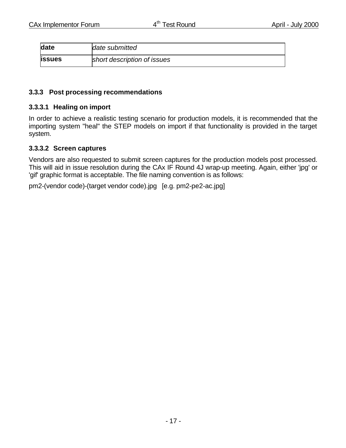| date          | date submitted              |
|---------------|-----------------------------|
| <b>issues</b> | short description of issues |

#### **3.3.3 Post processing recommendations**

#### **3.3.3.1 Healing on import**

In order to achieve a realistic testing scenario for production models, it is recommended that the importing system "heal" the STEP models on import if that functionality is provided in the target system.

#### **3.3.3.2 Screen captures**

Vendors are also requested to submit screen captures for the production models post processed. This will aid in issue resolution during the CAx IF Round 4J wrap-up meeting. Again, either 'jpg' or 'gif' graphic format is acceptable. The file naming convention is as follows:

pm2-(vendor code)-(target vendor code).jpg [e.g. pm2-pe2-ac.jpg]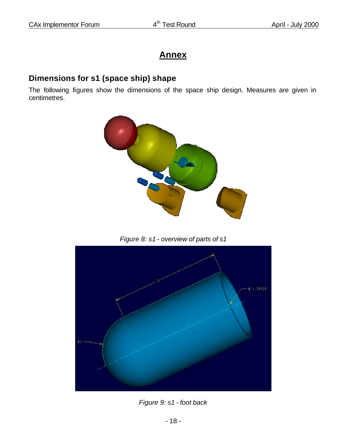# **Annex**

### **Dimensions for s1 (space ship) shape**

The following figures show the dimensions of the space ship design. Measures are given in centimetres.



*Figure 8: s1 - overview of parts of s1*



*Figure 9: s1 - foot back*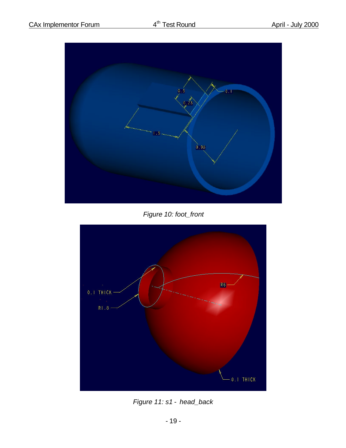

*Figure 10: foot\_front*



*Figure 11: s1 - head\_back*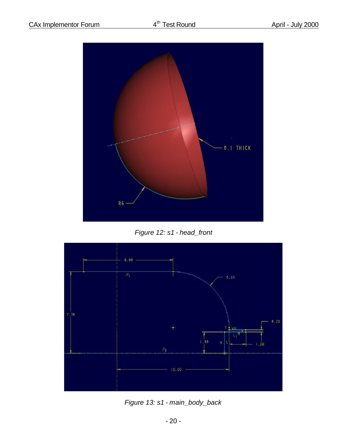

*Figure 12: s1 - head\_front*



*Figure 13: s1 - main\_body\_back*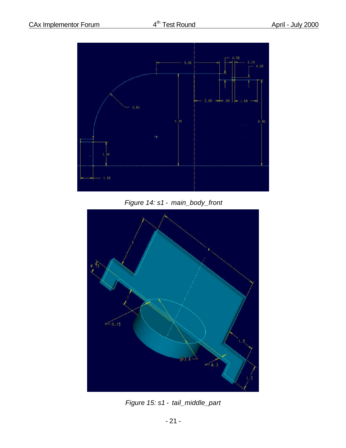

*Figure 14: s1 - main\_body\_front*



*Figure 15: s1 - tail\_middle\_part*